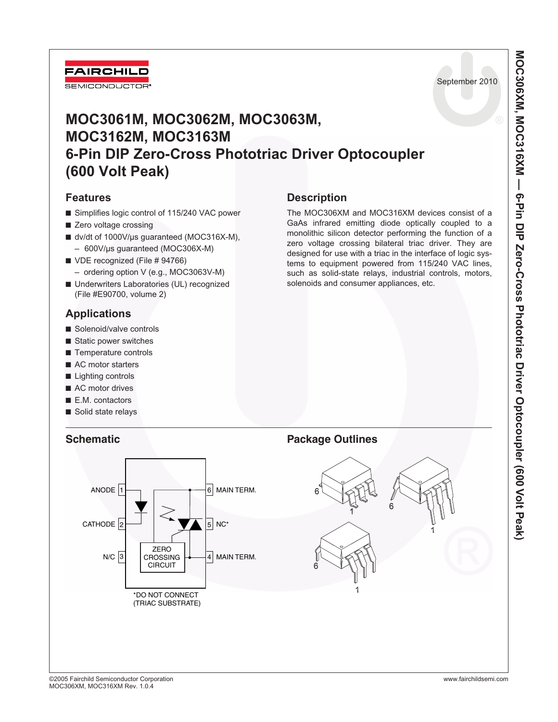

# **MOC3061M, MOC3062M, MOC3063M, MOC3162M, MOC3163M 6-Pin DIP Zero-Cross Phototriac Driver Optocoupler (600 Volt Peak)**

### **Features**

- Simplifies logic control of 115/240 VAC power
- Zero voltage crossing
- dv/dt of 1000V/µs guaranteed (MOC316X-M), – 600V/µs guaranteed (MOC306X-M)
- VDE recognized (File # 94766)
	- ordering option V (e.g., MOC3063V-M)
- Underwriters Laboratories (UL) recognized (File #E90700, volume 2)

## **Applications**

- Solenoid/valve controls
- Static power switches
- Temperature controls
- AC motor starters
- Lighting controls
- AC motor drives
- E.M. contactors
- Solid state relays



The MOC306XM and MOC316XM devices consist of a GaAs infrared emitting diode optically coupled to a monolithic silicon detector performing the function of a zero voltage crossing bilateral triac driver. They are designed for use with a triac in the interface of logic systems to equipment powered from 115/240 VAC lines, such as solid-state relays, industrial controls, motors, solenoids and consumer appliances, etc.

## **Schematic Package Outlines**

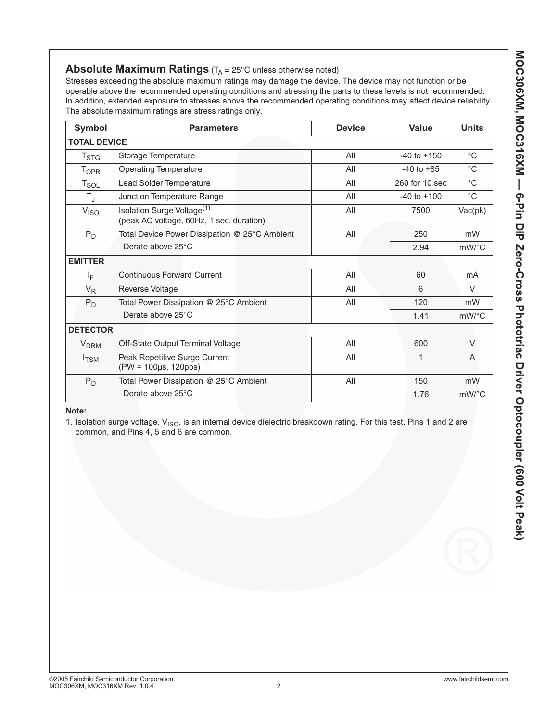### **Absolute Maximum Ratings** (T<sub>A</sub> = 25°C unless otherwise noted)

Stresses exceeding the absolute maximum ratings may damage the device. The device may not function or be operable above the recommended operating conditions and stressing the parts to these levels is not recommended. In addition, extended exposure to stresses above the recommended operating conditions may affect device reliability. The absolute maximum ratings are stress ratings only.

| Symbol                 | <b>Parameters</b>                                                                  | <b>Device</b> | <b>Value</b>    | <b>Units</b> |
|------------------------|------------------------------------------------------------------------------------|---------------|-----------------|--------------|
| <b>TOTAL DEVICE</b>    |                                                                                    |               |                 |              |
| $T_{\mathsf{STG}}$     | Storage Temperature                                                                | All           | $-40$ to $+150$ | $^{\circ}C$  |
| $T_{OPR}$              | <b>Operating Temperature</b>                                                       | All           | $-40$ to $+85$  | $^{\circ}$ C |
| $T_{SOL}$              | Lead Solder Temperature                                                            | All           | 260 for 10 sec  | $^{\circ}C$  |
| $T_{\rm J}$            | Junction Temperature Range                                                         | All           | $-40$ to $+100$ | $^{\circ}$ C |
| V <sub>ISO</sub>       | Isolation Surge Voltage <sup>(1)</sup><br>(peak AC voltage, 60Hz, 1 sec. duration) | All           | 7500            | Vac(pk)      |
| $P_D$                  | Total Device Power Dissipation @ 25°C Ambient                                      | All           | 250             | mW           |
|                        | Derate above 25°C                                                                  |               | 2.94            | mW/°C        |
| <b>EMITTER</b>         |                                                                                    |               |                 |              |
| ΙF                     | <b>Continuous Forward Current</b>                                                  | All           | 60              | mA           |
| $V_R$                  | <b>Reverse Voltage</b>                                                             | All           | 6               | $\vee$       |
| $P_D$                  | Total Power Dissipation @ 25°C Ambient                                             | All           | 120             | mW           |
|                        | Derate above 25°C                                                                  |               | 1.41            | $mW$ /°C     |
| <b>DETECTOR</b>        |                                                                                    |               |                 |              |
| <b>V<sub>DRM</sub></b> | Off-State Output Terminal Voltage                                                  | All           | 600             | $\vee$       |
| $I_{TSM}$              | Peak Repetitive Surge Current<br>$(PW = 100 \mu s, 120 \rho s)$                    | All           | 1               | A            |
| $P_D$                  | Total Power Dissipation @ 25°C Ambient                                             | All           | 150             | mW           |
|                        | Derate above 25°C                                                                  |               | 1.76            | $mW$ /°C     |

**Note:**

1. Isolation surge voltage,  $V_{ISO}$ , is an internal device dielectric breakdown rating. For this test, Pins 1 and 2 are common, and Pins 4, 5 and 6 are common.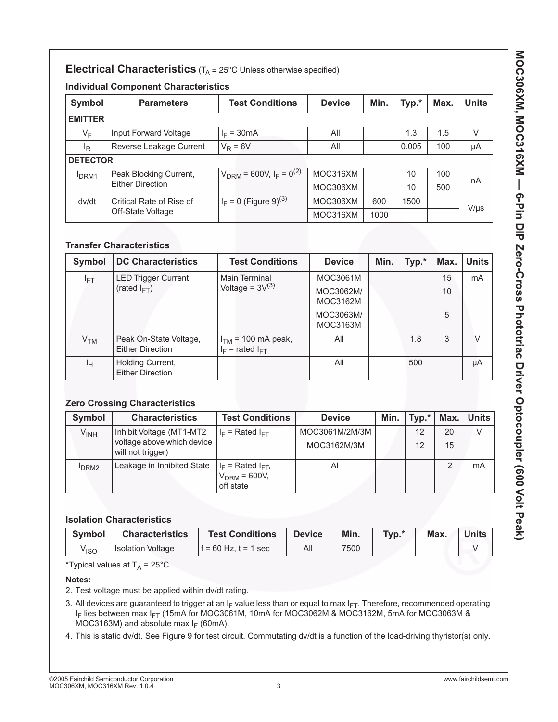### **Electrical Characteristics** (T<sub>A</sub> = 25°C Unless otherwise specified)

### **Individual Component Characteristics**

| Symbol          | <b>Parameters</b>        | <b>Test Conditions</b>                              | <b>Device</b> | Min. | Typ.* | Max. | <b>Units</b> |
|-----------------|--------------------------|-----------------------------------------------------|---------------|------|-------|------|--------------|
| <b>EMITTER</b>  |                          |                                                     |               |      |       |      |              |
| VF              | Input Forward Voltage    | $I_F = 30mA$                                        | All           |      | 1.3   | 1.5  | $\vee$       |
| <sup>I</sup> R  | Reverse Leakage Current  | $V_R = 6V$                                          | All           |      | 0.005 | 100  | μA           |
| <b>DETECTOR</b> |                          |                                                     |               |      |       |      |              |
| <b>DRM1</b>     | Peak Blocking Current,   | $V_{DRM}$ = 600V, I <sub>F</sub> = 0 <sup>(2)</sup> | MOC316XM      |      | 10    | 100  | nA           |
|                 | <b>Either Direction</b>  |                                                     | MOC306XM      |      | 10    | 500  |              |
| dv/dt           | Critical Rate of Rise of | $I_F = 0$ (Figure 9) <sup>(3)</sup>                 | MOC306XM      | 600  | 1500  |      |              |
|                 | Off-State Voltage        |                                                     | MOC316XM      | 1000 |       |      | $V/\mu s$    |

### **Transfer Characteristics**

| Symbol          | <b>DC Characteristics</b>                         | <b>Test Conditions</b>                         | <b>Device</b>         | Min. | Typ.* | Max. | <b>Units</b> |
|-----------------|---------------------------------------------------|------------------------------------------------|-----------------------|------|-------|------|--------------|
| $I_{\text{FT}}$ | <b>LED Trigger Current</b>                        | <b>Main Terminal</b>                           | MOC3061M              |      |       | 15   | mA           |
|                 | (rated $I_{FT}$ )                                 | Voltage = $3V^{(3)}$                           |                       |      |       | 10   |              |
|                 |                                                   |                                                | MOC3063M/<br>MOC3163M |      |       | 5    |              |
| V <sub>TM</sub> | Peak On-State Voltage,<br><b>Either Direction</b> | $ITM$ = 100 mA peak,<br>$I_F$ = rated $I_{FT}$ | All                   |      | 1.8   | 3    | $\vee$       |
| Iн              | Holding Current,<br><b>Either Direction</b>       |                                                | All                   |      | 500   |      | μA           |

### **Zero Crossing Characteristics**

| Symbol           | <b>Characteristics</b>                          | <b>Test Conditions</b>                                  | <b>Device</b>  | Min. | Typ.* | Max. | Units l |
|------------------|-------------------------------------------------|---------------------------------------------------------|----------------|------|-------|------|---------|
| V <sub>INH</sub> | Inhibit Voltage (MT1-MT2                        | $I_F$ = Rated $I_{FT}$                                  | MOC3061M/2M/3M |      | 12    | 20   |         |
|                  | voltage above which device<br>will not trigger) |                                                         | MOC3162M/3M    |      | 12    | 15   |         |
| DRM <sub>2</sub> | Leakage in Inhibited State                      | $I_F$ = Rated $I_{FT}$ ,<br>$VDRM = 600V,$<br>off state | Al             |      |       |      | mA      |

### **Isolation Characteristics**

| Symbol | <b>Characteristics</b>   | <b>Test Conditions</b>   | <b>Device</b> | Min. | Typ.* | Max. | Units |
|--------|--------------------------|--------------------------|---------------|------|-------|------|-------|
| Viso   | <b>Isolation Voltage</b> | $f = 60$ Hz, $t = 1$ sec | All           | 7500 |       |      |       |

\*Typical values at  $T_A = 25^{\circ}C$ 

#### **Notes:**

- 2. Test voltage must be applied within dv/dt rating.
- 3. All devices are guaranteed to trigger at an  $I_F$  value less than or equal to max  $I_{FT}$ . Therefore, recommended operating I<sub>F</sub> lies between max I<sub>FT</sub> (15mA for MOC3061M, 10mA for MOC3062M & MOC3162M, 5mA for MOC3063M & MOC3163M) and absolute max  $I_F$  (60mA).
- 4. This is static dv/dt. See Figure 9 for test circuit. Commutating dv/dt is a function of the load-driving thyristor(s) only.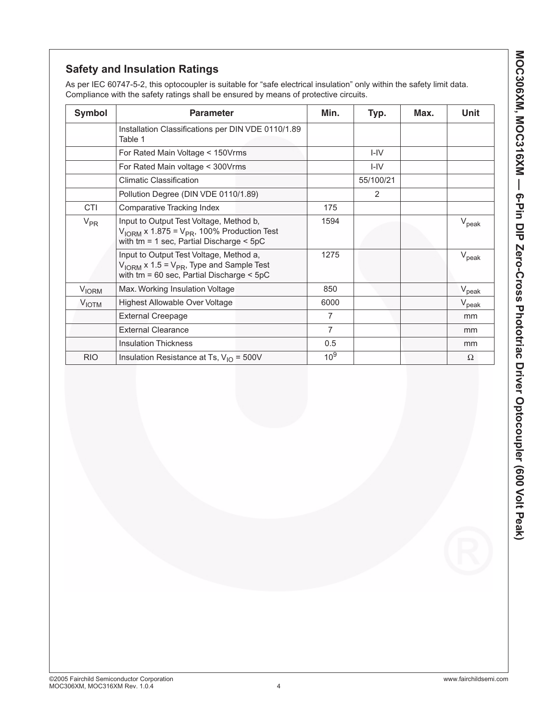As per IEC 60747-5-2, this optocoupler is suitable for "safe electrical insulation" only within the safety limit data. Compliance with the safety ratings shall be ensured by means of protective circuits.

| <b>Symbol</b>           | <b>Parameter</b>                                                                                                                                              | Min.            | Typ.          | Max. | Unit              |
|-------------------------|---------------------------------------------------------------------------------------------------------------------------------------------------------------|-----------------|---------------|------|-------------------|
|                         | Installation Classifications per DIN VDE 0110/1.89<br>Table 1                                                                                                 |                 |               |      |                   |
|                         | For Rated Main Voltage < 150Vrms                                                                                                                              |                 | $I - IV$      |      |                   |
|                         | For Rated Main voltage < 300Vrms                                                                                                                              |                 | $I - IV$      |      |                   |
|                         | <b>Climatic Classification</b>                                                                                                                                |                 | 55/100/21     |      |                   |
|                         | Pollution Degree (DIN VDE 0110/1.89)                                                                                                                          |                 | $\mathcal{P}$ |      |                   |
| <b>CTI</b>              | Comparative Tracking Index                                                                                                                                    | 175             |               |      |                   |
| $V_{PR}$                | Input to Output Test Voltage, Method b,<br>$V_{\text{IORM}}$ x 1.875 = $V_{\text{PR}}$ , 100% Production Test<br>with $tm = 1$ sec, Partial Discharge $<$ 5pC | 1594            |               |      | $V_{\rm peak}$    |
|                         | Input to Output Test Voltage, Method a,<br>$V_{\text{IORM}}$ x 1.5 = $V_{\text{PR}}$ , Type and Sample Test<br>with $tm = 60$ sec, Partial Discharge $< 5pC$  | 1275            |               |      | $V_{\text{peak}}$ |
| <b>V<sub>IORM</sub></b> | Max. Working Insulation Voltage                                                                                                                               | 850             |               |      | $V_{\rm peak}$    |
| <b>VIOTM</b>            | Highest Allowable Over Voltage                                                                                                                                | 6000            |               |      | $V_{\text{peak}}$ |
|                         | <b>External Creepage</b>                                                                                                                                      | $\overline{7}$  |               |      | mm                |
|                         | <b>External Clearance</b>                                                                                                                                     | 7               |               |      | mm                |
|                         | <b>Insulation Thickness</b>                                                                                                                                   | 0.5             |               |      | mm                |
| <b>RIO</b>              | Insulation Resistance at Ts, $V_{1O}$ = 500V                                                                                                                  | 10 <sup>9</sup> |               |      | $\Omega$          |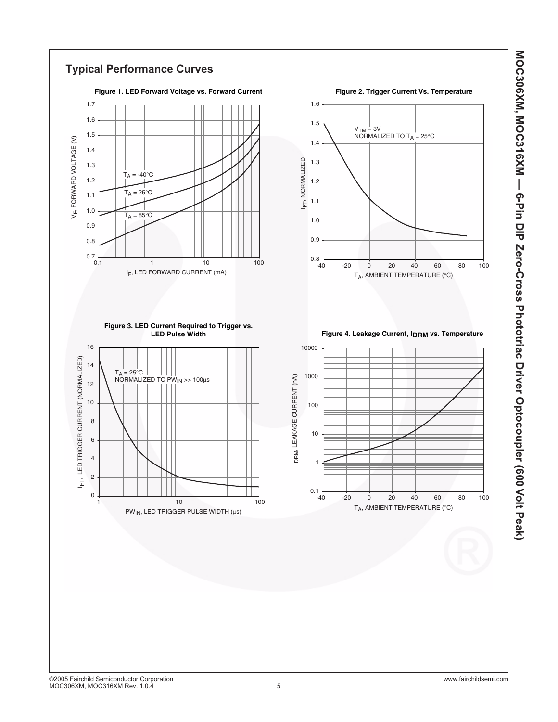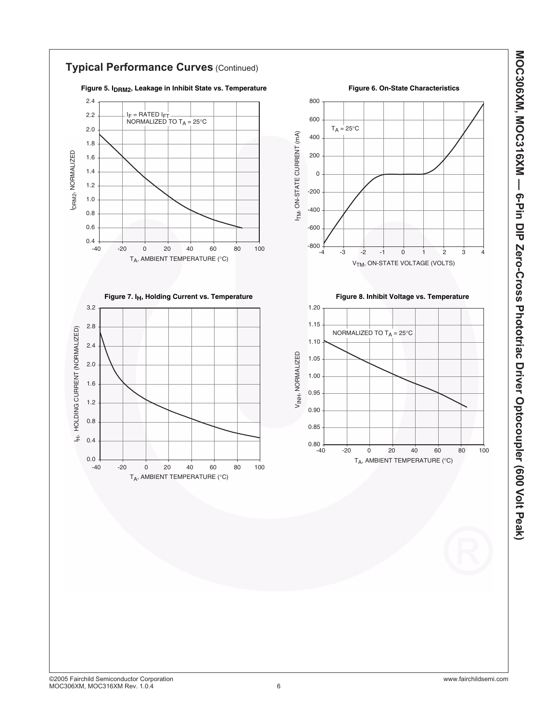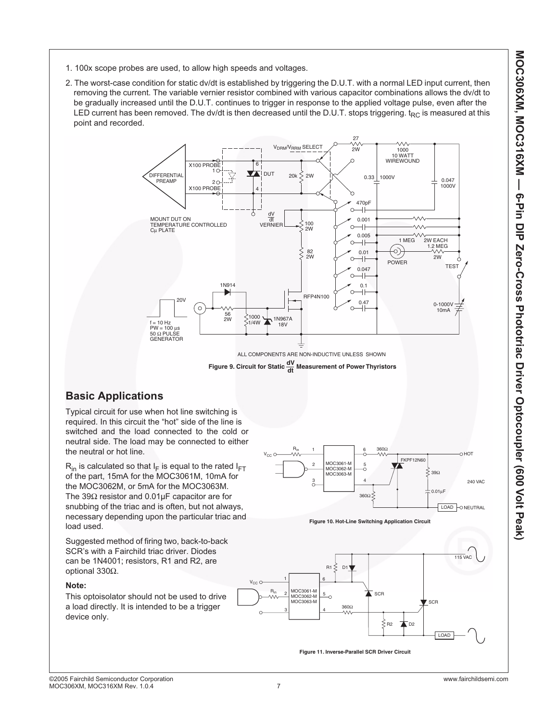MOC306XM, MOC316XM — 6-Pin DIP Zero-Cross Phototriac Driver Optocoupler (600 Volt Peak) **MOC306XM, MOC316XM — 6-Pin DIP Zero-Cross Phototriac Driver Optocoupler (600 Volt Peak)**

- 1. 100x scope probes are used, to allow high speeds and voltages.
- 2. The worst-case condition for static dv/dt is established by triggering the D.U.T. with a normal LED input current, then removing the current. The variable vernier resistor combined with various capacitor combinations allows the dv/dt to be gradually increased until the D.U.T. continues to trigger in response to the applied voltage pulse, even after the LED current has been removed. The dv/dt is then decreased until the D.U.T. stops triggering.  $t_{RC}$  is measured at this point and recorded.



**Figure 9. Circuit for Static**  $\frac{dV}{dt}$  **Measurement of Power Thyristors** 

### **Basic Applications**

Typical circuit for use when hot line switching is required. In this circuit the "hot" side of the line is switched and the load connected to the cold or neutral side. The load may be connected to either the neutral or hot line.

 $R_{in}$  is calculated so that  $I_F$  is equal to the rated  $I_{FT}$ of the part, 15mA for the MOC3061M, 10mA for the MOC3062M, or 5mA for the MOC3063M. The 39Ω resistor and 0.01µF capacitor are for snubbing of the triac and is often, but not always, necessary depending upon the particular triac and load used.

Suggested method of firing two, back-to-back SCR's with a Fairchild triac driver. Diodes can be 1N4001; resistors, R1 and R2, are optional 330Ω.

#### **Note:**

This optoisolator should not be used to drive a load directly. It is intended to be a trigger device only.





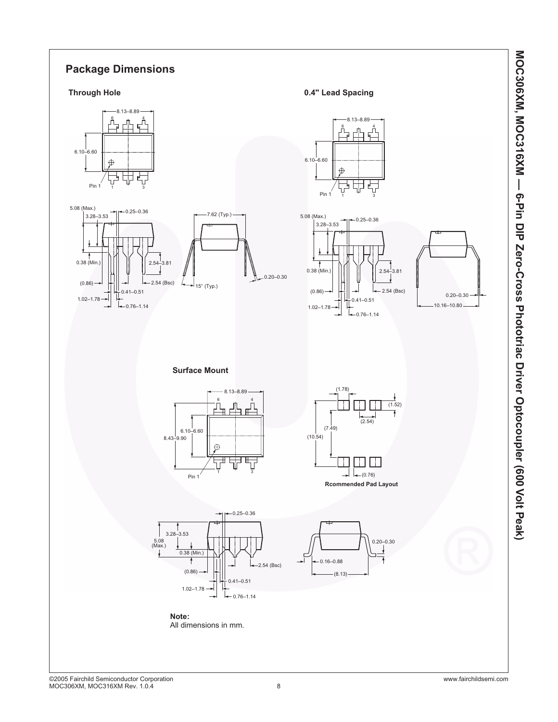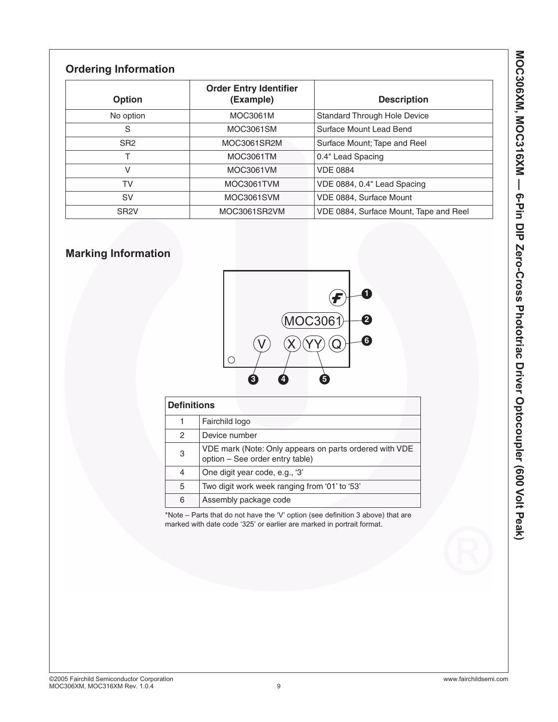# **Ordering Information**

| Option            | <b>Order Entry Identifier</b><br>(Example) | <b>Description</b>                     |
|-------------------|--------------------------------------------|----------------------------------------|
| No option         | MOC3061M                                   | <b>Standard Through Hole Device</b>    |
| S                 | MOC3061SM                                  | Surface Mount Lead Bend                |
| SR <sub>2</sub>   | MOC3061SR2M                                | Surface Mount; Tape and Reel           |
|                   | MOC3061TM                                  | 0.4" Lead Spacing                      |
| V                 | MOC3061VM                                  | <b>VDE 0884</b>                        |
| TV                | MOC3061TVM                                 | VDE 0884, 0.4" Lead Spacing            |
| <b>SV</b>         | MOC3061SVM                                 | VDE 0884, Surface Mount                |
| SR <sub>2</sub> V | MOC3061SR2VM                               | VDE 0884, Surface Mount, Tape and Reel |

# **Marking Information**



| <b>Definitions</b> |                                                                                           |  |  |  |  |
|--------------------|-------------------------------------------------------------------------------------------|--|--|--|--|
| 1                  | Fairchild logo                                                                            |  |  |  |  |
| 2                  | Device number                                                                             |  |  |  |  |
| 3                  | VDE mark (Note: Only appears on parts ordered with VDE<br>option - See order entry table) |  |  |  |  |
| 4                  | One digit year code, e.g., '3'                                                            |  |  |  |  |
| 5                  | Two digit work week ranging from '01' to '53'                                             |  |  |  |  |
| 6                  | Assembly package code                                                                     |  |  |  |  |

\*Note – Parts that do not have the 'V' option (see definition 3 above) that are marked with date code '325' or earlier are marked in portrait format.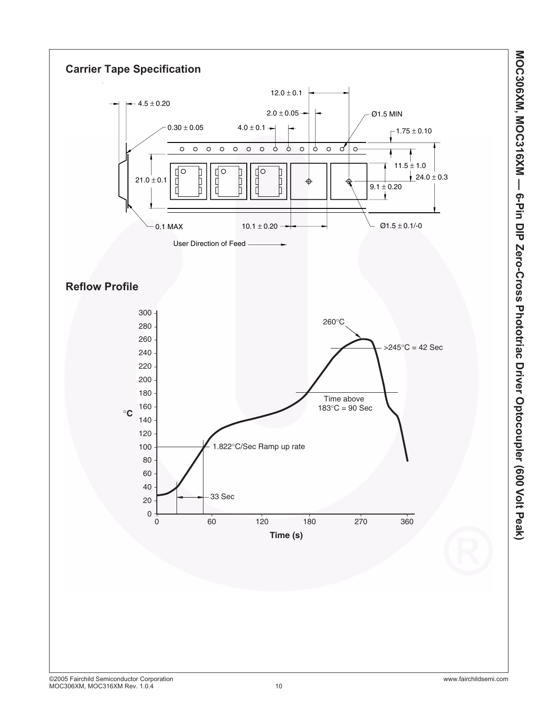